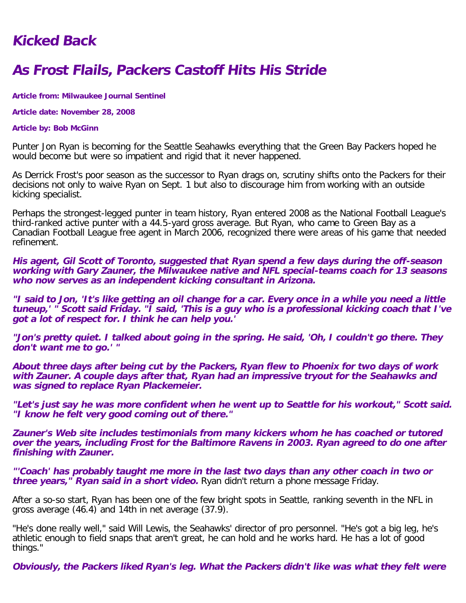## **Kicked Back**

## **As Frost Flails, Packers Castoff Hits His Stride**

**Article from: Milwaukee Journal Sentinel**

**Article date: November 28, 2008**

## **Article by: Bob McGinn**

Punter Jon Ryan is becoming for the Seattle Seahawks everything that the Green Bay Packers hoped he would become but were so impatient and rigid that it never happened.

As Derrick Frost's poor season as the successor to Ryan drags on, scrutiny shifts onto the Packers for their decisions not only to waive Ryan on Sept. 1 but also to discourage him from working with an outside kicking specialist.

Perhaps the strongest-legged punter in team history, Ryan entered 2008 as the National Football League's third-ranked active punter with a 44.5-yard gross average. But Ryan, who came to Green Bay as a Canadian Football League free agent in March 2006, recognized there were areas of his game that needed refinement.

**His agent, Gil Scott of Toronto, suggested that Ryan spend a few days during the off-season working with Gary Zauner, the Milwaukee native and NFL special-teams coach for 13 seasons who now serves as an independent kicking consultant in Arizona.**

**"I said to Jon, 'It's like getting an oil change for a car. Every once in a while you need a little tuneup,' " Scott said Friday. "I said, 'This is a guy who is a professional kicking coach that I've got a lot of respect for. I think he can help you.'**

**"Jon's pretty quiet. I talked about going in the spring. He said, 'Oh, I couldn't go there. They don't want me to go.' "**

**About three days after being cut by the Packers, Ryan flew to Phoenix for two days of work with Zauner. A couple days after that, Ryan had an impressive tryout for the Seahawks and was signed to replace Ryan Plackemeier.**

**"Let's just say he was more confident when he went up to Seattle for his workout," Scott said. "I know he felt very good coming out of there."**

**Zauner's Web site includes testimonials from many kickers whom he has coached or tutored over the years, including Frost for the Baltimore Ravens in 2003. Ryan agreed to do one after finishing with Zauner.**

**"'Coach' has probably taught me more in the last two days than any other coach in two or three years," Ryan said in a short video.** Ryan didn't return a phone message Friday.

After a so-so start, Ryan has been one of the few bright spots in Seattle, ranking seventh in the NFL in gross average (46.4) and 14th in net average (37.9).

"He's done really well," said Will Lewis, the Seahawks' director of pro personnel. "He's got a big leg, he's athletic enough to field snaps that aren't great, he can hold and he works hard. He has a lot of good things."

**Obviously, the Packers liked Ryan's leg. What the Packers didn't like was what they felt were**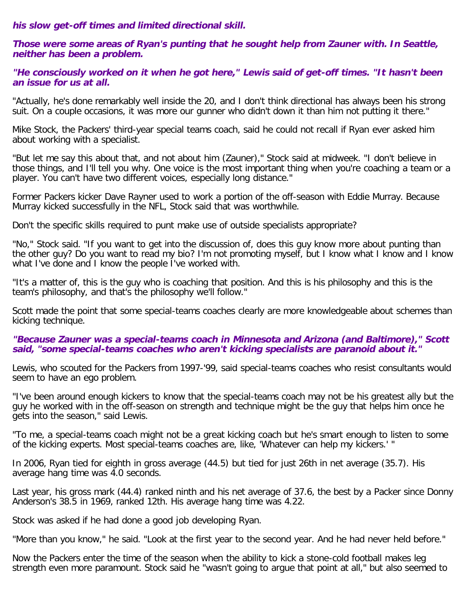**his slow get-off times and limited directional skill.**

**Those were some areas of Ryan's punting that he sought help from Zauner with. In Seattle, neither has been a problem.**

**"He consciously worked on it when he got here," Lewis said of get-off times. "It hasn't been an issue for us at all.**

"Actually, he's done remarkably well inside the 20, and I don't think directional has always been his strong suit. On a couple occasions, it was more our gunner who didn't down it than him not putting it there."

Mike Stock, the Packers' third-year special teams coach, said he could not recall if Ryan ever asked him about working with a specialist.

"But let me say this about that, and not about him (Zauner)," Stock said at midweek. "I don't believe in those things, and I'll tell you why. One voice is the most important thing when you're coaching a team or a player. You can't have two different voices, especially long distance."

Former Packers kicker Dave Rayner used to work a portion of the off-season with Eddie Murray. Because Murray kicked successfully in the NFL, Stock said that was worthwhile.

Don't the specific skills required to punt make use of outside specialists appropriate?

"No," Stock said. "If you want to get into the discussion of, does this guy know more about punting than the other guy? Do you want to read my bio? I'm not promoting myself, but I know what I know and I know what I've done and I know the people I've worked with.

"It's a matter of, this is the guy who is coaching that position. And this is his philosophy and this is the team's philosophy, and that's the philosophy we'll follow."

Scott made the point that some special-teams coaches clearly are more knowledgeable about schemes than kicking technique.

## **"Because Zauner was a special-teams coach in Minnesota and Arizona (and Baltimore)," Scott said, "some special-teams coaches who aren't kicking specialists are paranoid about it."**

Lewis, who scouted for the Packers from 1997-'99, said special-teams coaches who resist consultants would seem to have an ego problem.

"I've been around enough kickers to know that the special-teams coach may not be his greatest ally but the guy he worked with in the off-season on strength and technique might be the guy that helps him once he gets into the season," said Lewis.

"To me, a special-teams coach might not be a great kicking coach but he's smart enough to listen to some of the kicking experts. Most special-teams coaches are, like, 'Whatever can help my kickers.' "

In 2006, Ryan tied for eighth in gross average (44.5) but tied for just 26th in net average (35.7). His average hang time was 4.0 seconds.

Last year, his gross mark (44.4) ranked ninth and his net average of 37.6, the best by a Packer since Donny Anderson's 38.5 in 1969, ranked 12th. His average hang time was 4.22.

Stock was asked if he had done a good job developing Ryan.

"More than you know," he said. "Look at the first year to the second year. And he had never held before."

Now the Packers enter the time of the season when the ability to kick a stone-cold football makes leg strength even more paramount. Stock said he "wasn't going to argue that point at all," but also seemed to